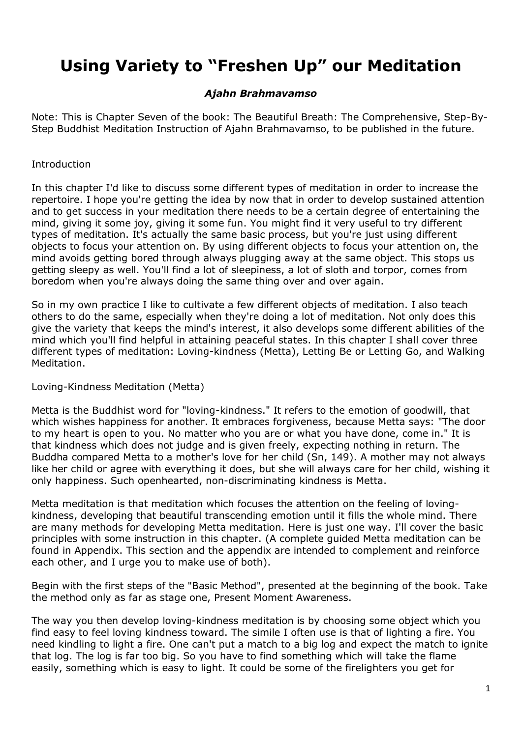# **Using Variety to "Freshen Up" our Meditation**

# *Ajahn Brahmavamso*

Note: This is Chapter Seven of the book: The Beautiful Breath: The Comprehensive, Step-By-Step Buddhist Meditation Instruction of Ajahn Brahmavamso, to be published in the future.

#### Introduction

In this chapter I'd like to discuss some different types of meditation in order to increase the repertoire. I hope you're getting the idea by now that in order to develop sustained attention and to get success in your meditation there needs to be a certain degree of entertaining the mind, giving it some joy, giving it some fun. You might find it very useful to try different types of meditation. It's actually the same basic process, but you're just using different objects to focus your attention on. By using different objects to focus your attention on, the mind avoids getting bored through always plugging away at the same object. This stops us getting sleepy as well. You'll find a lot of sleepiness, a lot of sloth and torpor, comes from boredom when you're always doing the same thing over and over again.

So in my own practice I like to cultivate a few different objects of meditation. I also teach others to do the same, especially when they're doing a lot of meditation. Not only does this give the variety that keeps the mind's interest, it also develops some different abilities of the mind which you'll find helpful in attaining peaceful states. In this chapter I shall cover three different types of meditation: Loving-kindness (Metta), Letting Be or Letting Go, and Walking Meditation.

#### Loving-Kindness Meditation (Metta)

Metta is the Buddhist word for "loving-kindness." It refers to the emotion of goodwill, that which wishes happiness for another. It embraces forgiveness, because Metta says: "The door to my heart is open to you. No matter who you are or what you have done, come in." It is that kindness which does not judge and is given freely, expecting nothing in return. The Buddha compared Metta to a mother's love for her child (Sn, 149). A mother may not always like her child or agree with everything it does, but she will always care for her child, wishing it only happiness. Such openhearted, non-discriminating kindness is Metta.

Metta meditation is that meditation which focuses the attention on the feeling of lovingkindness, developing that beautiful transcending emotion until it fills the whole mind. There are many methods for developing Metta meditation. Here is just one way. I'll cover the basic principles with some instruction in this chapter. (A complete guided Metta meditation can be found in Appendix. This section and the appendix are intended to complement and reinforce each other, and I urge you to make use of both).

Begin with the first steps of the "Basic Method", presented at the beginning of the book. Take the method only as far as stage one, Present Moment Awareness.

The way you then develop loving-kindness meditation is by choosing some object which you find easy to feel loving kindness toward. The simile I often use is that of lighting a fire. You need kindling to light a fire. One can't put a match to a big log and expect the match to ignite that log. The log is far too big. So you have to find something which will take the flame easily, something which is easy to light. It could be some of the firelighters you get for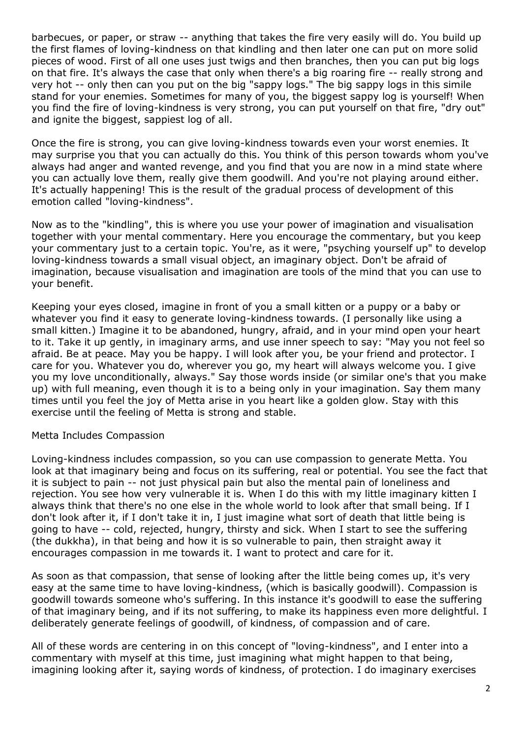barbecues, or paper, or straw -- anything that takes the fire very easily will do. You build up the first flames of loving-kindness on that kindling and then later one can put on more solid pieces of wood. First of all one uses just twigs and then branches, then you can put big logs on that fire. It's always the case that only when there's a big roaring fire -- really strong and very hot -- only then can you put on the big "sappy logs." The big sappy logs in this simile stand for your enemies. Sometimes for many of you, the biggest sappy log is yourself! When you find the fire of loving-kindness is very strong, you can put yourself on that fire, "dry out" and ignite the biggest, sappiest log of all.

Once the fire is strong, you can give loving-kindness towards even your worst enemies. It may surprise you that you can actually do this. You think of this person towards whom you've always had anger and wanted revenge, and you find that you are now in a mind state where you can actually love them, really give them goodwill. And you're not playing around either. It's actually happening! This is the result of the gradual process of development of this emotion called "loving-kindness".

Now as to the "kindling", this is where you use your power of imagination and visualisation together with your mental commentary. Here you encourage the commentary, but you keep your commentary just to a certain topic. You're, as it were, "psyching yourself up" to develop loving-kindness towards a small visual object, an imaginary object. Don't be afraid of imagination, because visualisation and imagination are tools of the mind that you can use to your benefit.

Keeping your eyes closed, imagine in front of you a small kitten or a puppy or a baby or whatever you find it easy to generate loving-kindness towards. (I personally like using a small kitten.) Imagine it to be abandoned, hungry, afraid, and in your mind open your heart to it. Take it up gently, in imaginary arms, and use inner speech to say: "May you not feel so afraid. Be at peace. May you be happy. I will look after you, be your friend and protector. I care for you. Whatever you do, wherever you go, my heart will always welcome you. I give you my love unconditionally, always." Say those words inside (or similar one's that you make up) with full meaning, even though it is to a being only in your imagination. Say them many times until you feel the joy of Metta arise in you heart like a golden glow. Stay with this exercise until the feeling of Metta is strong and stable.

#### Metta Includes Compassion

Loving-kindness includes compassion, so you can use compassion to generate Metta. You look at that imaginary being and focus on its suffering, real or potential. You see the fact that it is subject to pain -- not just physical pain but also the mental pain of loneliness and rejection. You see how very vulnerable it is. When I do this with my little imaginary kitten I always think that there's no one else in the whole world to look after that small being. If I don't look after it, if I don't take it in, I just imagine what sort of death that little being is going to have -- cold, rejected, hungry, thirsty and sick. When I start to see the suffering (the dukkha), in that being and how it is so vulnerable to pain, then straight away it encourages compassion in me towards it. I want to protect and care for it.

As soon as that compassion, that sense of looking after the little being comes up, it's very easy at the same time to have loving-kindness, (which is basically goodwill). Compassion is goodwill towards someone who's suffering. In this instance it's goodwill to ease the suffering of that imaginary being, and if its not suffering, to make its happiness even more delightful. I deliberately generate feelings of goodwill, of kindness, of compassion and of care.

All of these words are centering in on this concept of "loving-kindness", and I enter into a commentary with myself at this time, just imagining what might happen to that being, imagining looking after it, saying words of kindness, of protection. I do imaginary exercises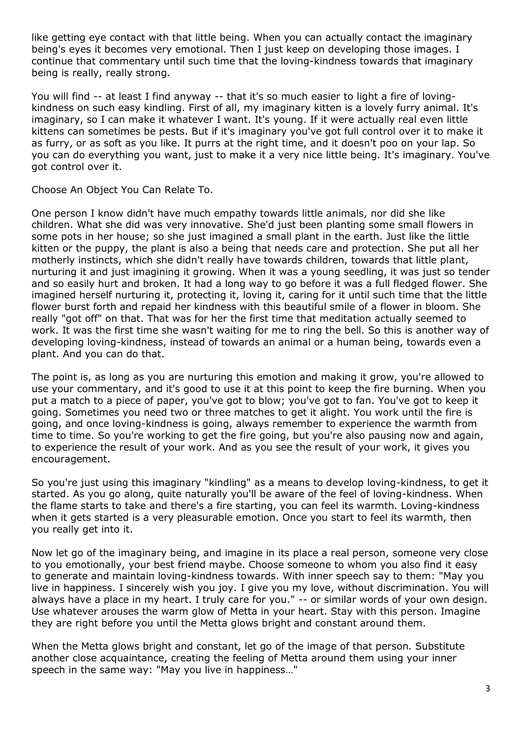like getting eye contact with that little being. When you can actually contact the imaginary being's eyes it becomes very emotional. Then I just keep on developing those images. I continue that commentary until such time that the loving-kindness towards that imaginary being is really, really strong.

You will find -- at least I find anyway -- that it's so much easier to light a fire of lovingkindness on such easy kindling. First of all, my imaginary kitten is a lovely furry animal. It's imaginary, so I can make it whatever I want. It's young. If it were actually real even little kittens can sometimes be pests. But if it's imaginary you've got full control over it to make it as furry, or as soft as you like. It purrs at the right time, and it doesn't poo on your lap. So you can do everything you want, just to make it a very nice little being. It's imaginary. You've got control over it.

Choose An Object You Can Relate To.

One person I know didn't have much empathy towards little animals, nor did she like children. What she did was very innovative. She'd just been planting some small flowers in some pots in her house; so she just imagined a small plant in the earth. Just like the little kitten or the puppy, the plant is also a being that needs care and protection. She put all her motherly instincts, which she didn't really have towards children, towards that little plant, nurturing it and just imagining it growing. When it was a young seedling, it was just so tender and so easily hurt and broken. It had a long way to go before it was a full fledged flower. She imagined herself nurturing it, protecting it, loving it, caring for it until such time that the little flower burst forth and repaid her kindness with this beautiful smile of a flower in bloom. She really "got off" on that. That was for her the first time that meditation actually seemed to work. It was the first time she wasn't waiting for me to ring the bell. So this is another way of developing loving-kindness, instead of towards an animal or a human being, towards even a plant. And you can do that.

The point is, as long as you are nurturing this emotion and making it grow, you're allowed to use your commentary, and it's good to use it at this point to keep the fire burning. When you put a match to a piece of paper, you've got to blow; you've got to fan. You've got to keep it going. Sometimes you need two or three matches to get it alight. You work until the fire is going, and once loving-kindness is going, always remember to experience the warmth from time to time. So you're working to get the fire going, but you're also pausing now and again, to experience the result of your work. And as you see the result of your work, it gives you encouragement.

So you're just using this imaginary "kindling" as a means to develop loving-kindness, to get it started. As you go along, quite naturally you'll be aware of the feel of loving-kindness. When the flame starts to take and there's a fire starting, you can feel its warmth. Loving-kindness when it gets started is a very pleasurable emotion. Once you start to feel its warmth, then you really get into it.

Now let go of the imaginary being, and imagine in its place a real person, someone very close to you emotionally, your best friend maybe. Choose someone to whom you also find it easy to generate and maintain loving-kindness towards. With inner speech say to them: "May you live in happiness. I sincerely wish you joy. I give you my love, without discrimination. You will always have a place in my heart. I truly care for you." -- or similar words of your own design. Use whatever arouses the warm glow of Metta in your heart. Stay with this person. Imagine they are right before you until the Metta glows bright and constant around them.

When the Metta glows bright and constant, let go of the image of that person. Substitute another close acquaintance, creating the feeling of Metta around them using your inner speech in the same way: "May you live in happiness…"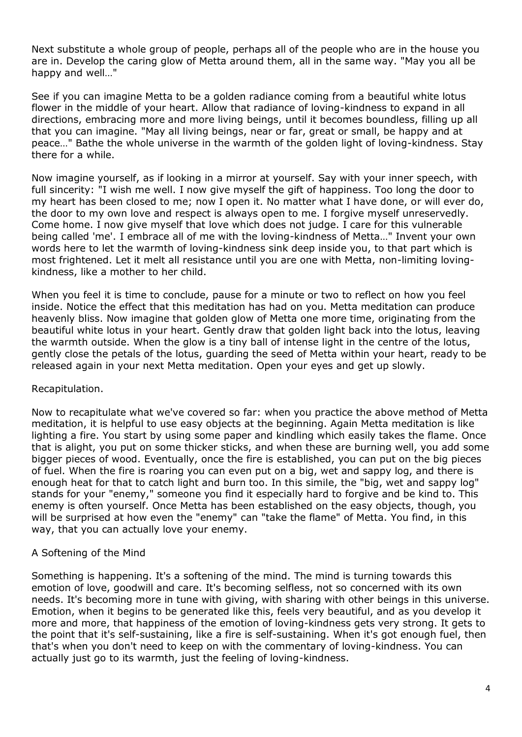Next substitute a whole group of people, perhaps all of the people who are in the house you are in. Develop the caring glow of Metta around them, all in the same way. "May you all be happy and well…"

See if you can imagine Metta to be a golden radiance coming from a beautiful white lotus flower in the middle of your heart. Allow that radiance of loving-kindness to expand in all directions, embracing more and more living beings, until it becomes boundless, filling up all that you can imagine. "May all living beings, near or far, great or small, be happy and at peace…" Bathe the whole universe in the warmth of the golden light of loving-kindness. Stay there for a while.

Now imagine yourself, as if looking in a mirror at yourself. Say with your inner speech, with full sincerity: "I wish me well. I now give myself the gift of happiness. Too long the door to my heart has been closed to me; now I open it. No matter what I have done, or will ever do, the door to my own love and respect is always open to me. I forgive myself unreservedly. Come home. I now give myself that love which does not judge. I care for this vulnerable being called 'me'. I embrace all of me with the loving-kindness of Metta…" Invent your own words here to let the warmth of loving-kindness sink deep inside you, to that part which is most frightened. Let it melt all resistance until you are one with Metta, non-limiting lovingkindness, like a mother to her child.

When you feel it is time to conclude, pause for a minute or two to reflect on how you feel inside. Notice the effect that this meditation has had on you. Metta meditation can produce heavenly bliss. Now imagine that golden glow of Metta one more time, originating from the beautiful white lotus in your heart. Gently draw that golden light back into the lotus, leaving the warmth outside. When the glow is a tiny ball of intense light in the centre of the lotus, gently close the petals of the lotus, guarding the seed of Metta within your heart, ready to be released again in your next Metta meditation. Open your eyes and get up slowly.

#### Recapitulation.

Now to recapitulate what we've covered so far: when you practice the above method of Metta meditation, it is helpful to use easy objects at the beginning. Again Metta meditation is like lighting a fire. You start by using some paper and kindling which easily takes the flame. Once that is alight, you put on some thicker sticks, and when these are burning well, you add some bigger pieces of wood. Eventually, once the fire is established, you can put on the big pieces of fuel. When the fire is roaring you can even put on a big, wet and sappy log, and there is enough heat for that to catch light and burn too. In this simile, the "big, wet and sappy log" stands for your "enemy," someone you find it especially hard to forgive and be kind to. This enemy is often yourself. Once Metta has been established on the easy objects, though, you will be surprised at how even the "enemy" can "take the flame" of Metta. You find, in this way, that you can actually love your enemy.

#### A Softening of the Mind

Something is happening. It's a softening of the mind. The mind is turning towards this emotion of love, goodwill and care. It's becoming selfless, not so concerned with its own needs. It's becoming more in tune with giving, with sharing with other beings in this universe. Emotion, when it begins to be generated like this, feels very beautiful, and as you develop it more and more, that happiness of the emotion of loving-kindness gets very strong. It gets to the point that it's self-sustaining, like a fire is self-sustaining. When it's got enough fuel, then that's when you don't need to keep on with the commentary of loving-kindness. You can actually just go to its warmth, just the feeling of loving-kindness.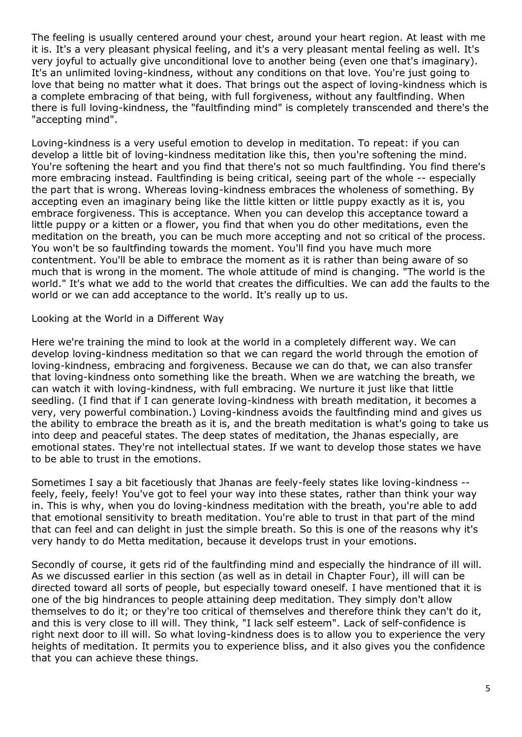The feeling is usually centered around your chest, around your heart region. At least with me it is. It's a very pleasant physical feeling, and it's a very pleasant mental feeling as well. It's very joyful to actually give unconditional love to another being (even one that's imaginary). It's an unlimited loving-kindness, without any conditions on that love. You're just going to love that being no matter what it does. That brings out the aspect of loving-kindness which is a complete embracing of that being, with full forgiveness, without any faultfinding. When there is full loving-kindness, the "faultfinding mind" is completely transcended and there's the "accepting mind".

Loving-kindness is a very useful emotion to develop in meditation. To repeat: if you can develop a little bit of loving-kindness meditation like this, then you're softening the mind. You're softening the heart and you find that there's not so much faultfinding. You find there's more embracing instead. Faultfinding is being critical, seeing part of the whole -- especially the part that is wrong. Whereas loving-kindness embraces the wholeness of something. By accepting even an imaginary being like the little kitten or little puppy exactly as it is, you embrace forgiveness. This is acceptance. When you can develop this acceptance toward a little puppy or a kitten or a flower, you find that when you do other meditations, even the meditation on the breath, you can be much more accepting and not so critical of the process. You won't be so faultfinding towards the moment. You'll find you have much more contentment. You'll be able to embrace the moment as it is rather than being aware of so much that is wrong in the moment. The whole attitude of mind is changing. "The world is the world." It's what we add to the world that creates the difficulties. We can add the faults to the world or we can add acceptance to the world. It's really up to us.

#### Looking at the World in a Different Way

Here we're training the mind to look at the world in a completely different way. We can develop loving-kindness meditation so that we can regard the world through the emotion of loving-kindness, embracing and forgiveness. Because we can do that, we can also transfer that loving-kindness onto something like the breath. When we are watching the breath, we can watch it with loving-kindness, with full embracing. We nurture it just like that little seedling. (I find that if I can generate loving-kindness with breath meditation, it becomes a very, very powerful combination.) Loving-kindness avoids the faultfinding mind and gives us the ability to embrace the breath as it is, and the breath meditation is what's going to take us into deep and peaceful states. The deep states of meditation, the Jhanas especially, are emotional states. They're not intellectual states. If we want to develop those states we have to be able to trust in the emotions.

Sometimes I say a bit facetiously that Jhanas are feely-feely states like loving-kindness - feely, feely, feely! You've got to feel your way into these states, rather than think your way in. This is why, when you do loving-kindness meditation with the breath, you're able to add that emotional sensitivity to breath meditation. You're able to trust in that part of the mind that can feel and can delight in just the simple breath. So this is one of the reasons why it's very handy to do Metta meditation, because it develops trust in your emotions.

Secondly of course, it gets rid of the faultfinding mind and especially the hindrance of ill will. As we discussed earlier in this section (as well as in detail in Chapter Four), ill will can be directed toward all sorts of people, but especially toward oneself. I have mentioned that it is one of the big hindrances to people attaining deep meditation. They simply don't allow themselves to do it; or they're too critical of themselves and therefore think they can't do it, and this is very close to ill will. They think, "I lack self esteem". Lack of self-confidence is right next door to ill will. So what loving-kindness does is to allow you to experience the very heights of meditation. It permits you to experience bliss, and it also gives you the confidence that you can achieve these things.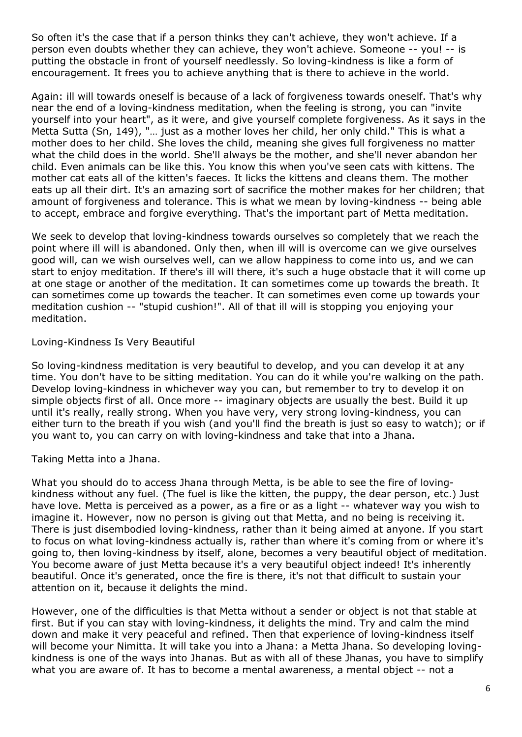So often it's the case that if a person thinks they can't achieve, they won't achieve. If a person even doubts whether they can achieve, they won't achieve. Someone -- you! -- is putting the obstacle in front of yourself needlessly. So loving-kindness is like a form of encouragement. It frees you to achieve anything that is there to achieve in the world.

Again: ill will towards oneself is because of a lack of forgiveness towards oneself. That's why near the end of a loving-kindness meditation, when the feeling is strong, you can "invite yourself into your heart", as it were, and give yourself complete forgiveness. As it says in the Metta Sutta (Sn, 149), "… just as a mother loves her child, her only child." This is what a mother does to her child. She loves the child, meaning she gives full forgiveness no matter what the child does in the world. She'll always be the mother, and she'll never abandon her child. Even animals can be like this. You know this when you've seen cats with kittens. The mother cat eats all of the kitten's faeces. It licks the kittens and cleans them. The mother eats up all their dirt. It's an amazing sort of sacrifice the mother makes for her children; that amount of forgiveness and tolerance. This is what we mean by loving-kindness -- being able to accept, embrace and forgive everything. That's the important part of Metta meditation.

We seek to develop that loving-kindness towards ourselves so completely that we reach the point where ill will is abandoned. Only then, when ill will is overcome can we give ourselves good will, can we wish ourselves well, can we allow happiness to come into us, and we can start to enjoy meditation. If there's ill will there, it's such a huge obstacle that it will come up at one stage or another of the meditation. It can sometimes come up towards the breath. It can sometimes come up towards the teacher. It can sometimes even come up towards your meditation cushion -- "stupid cushion!". All of that ill will is stopping you enjoying your meditation.

Loving-Kindness Is Very Beautiful

So loving-kindness meditation is very beautiful to develop, and you can develop it at any time. You don't have to be sitting meditation. You can do it while you're walking on the path. Develop loving-kindness in whichever way you can, but remember to try to develop it on simple objects first of all. Once more -- imaginary objects are usually the best. Build it up until it's really, really strong. When you have very, very strong loving-kindness, you can either turn to the breath if you wish (and you'll find the breath is just so easy to watch); or if you want to, you can carry on with loving-kindness and take that into a Jhana.

Taking Metta into a Jhana.

What you should do to access Jhana through Metta, is be able to see the fire of lovingkindness without any fuel. (The fuel is like the kitten, the puppy, the dear person, etc.) Just have love. Metta is perceived as a power, as a fire or as a light -- whatever way you wish to imagine it. However, now no person is giving out that Metta, and no being is receiving it. There is just disembodied loving-kindness, rather than it being aimed at anyone. If you start to focus on what loving-kindness actually is, rather than where it's coming from or where it's going to, then loving-kindness by itself, alone, becomes a very beautiful object of meditation. You become aware of just Metta because it's a very beautiful object indeed! It's inherently beautiful. Once it's generated, once the fire is there, it's not that difficult to sustain your attention on it, because it delights the mind.

However, one of the difficulties is that Metta without a sender or object is not that stable at first. But if you can stay with loving-kindness, it delights the mind. Try and calm the mind down and make it very peaceful and refined. Then that experience of loving-kindness itself will become your Nimitta. It will take you into a Jhana: a Metta Jhana. So developing lovingkindness is one of the ways into Jhanas. But as with all of these Jhanas, you have to simplify what you are aware of. It has to become a mental awareness, a mental object -- not a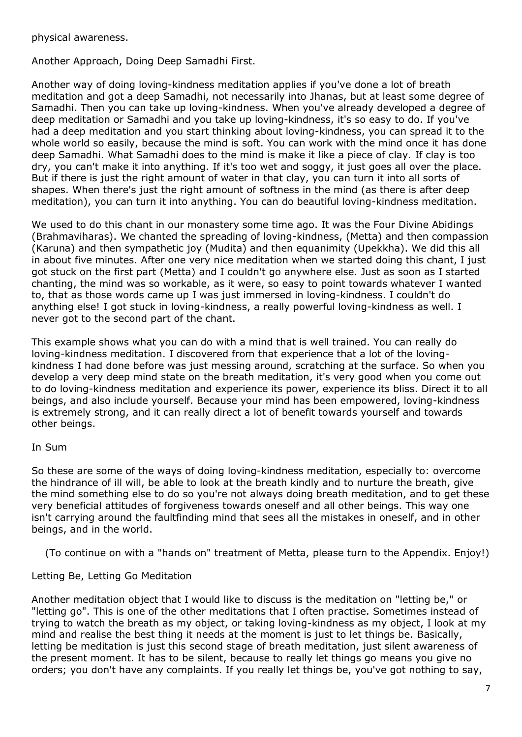physical awareness.

Another Approach, Doing Deep Samadhi First.

Another way of doing loving-kindness meditation applies if you've done a lot of breath meditation and got a deep Samadhi, not necessarily into Jhanas, but at least some degree of Samadhi. Then you can take up loving-kindness. When you've already developed a degree of deep meditation or Samadhi and you take up loving-kindness, it's so easy to do. If you've had a deep meditation and you start thinking about loving-kindness, you can spread it to the whole world so easily, because the mind is soft. You can work with the mind once it has done deep Samadhi. What Samadhi does to the mind is make it like a piece of clay. If clay is too dry, you can't make it into anything. If it's too wet and soggy, it just goes all over the place. But if there is just the right amount of water in that clay, you can turn it into all sorts of shapes. When there's just the right amount of softness in the mind (as there is after deep meditation), you can turn it into anything. You can do beautiful loving-kindness meditation.

We used to do this chant in our monastery some time ago. It was the Four Divine Abidings (Brahmaviharas). We chanted the spreading of loving-kindness, (Metta) and then compassion (Karuna) and then sympathetic joy (Mudita) and then equanimity (Upekkha). We did this all in about five minutes. After one very nice meditation when we started doing this chant, I just got stuck on the first part (Metta) and I couldn't go anywhere else. Just as soon as I started chanting, the mind was so workable, as it were, so easy to point towards whatever I wanted to, that as those words came up I was just immersed in loving-kindness. I couldn't do anything else! I got stuck in loving-kindness, a really powerful loving-kindness as well. I never got to the second part of the chant.

This example shows what you can do with a mind that is well trained. You can really do loving-kindness meditation. I discovered from that experience that a lot of the lovingkindness I had done before was just messing around, scratching at the surface. So when you develop a very deep mind state on the breath meditation, it's very good when you come out to do loving-kindness meditation and experience its power, experience its bliss. Direct it to all beings, and also include yourself. Because your mind has been empowered, loving-kindness is extremely strong, and it can really direct a lot of benefit towards yourself and towards other beings.

#### In Sum

So these are some of the ways of doing loving-kindness meditation, especially to: overcome the hindrance of ill will, be able to look at the breath kindly and to nurture the breath, give the mind something else to do so you're not always doing breath meditation, and to get these very beneficial attitudes of forgiveness towards oneself and all other beings. This way one isn't carrying around the faultfinding mind that sees all the mistakes in oneself, and in other beings, and in the world.

(To continue on with a "hands on" treatment of Metta, please turn to the Appendix. Enjoy!)

Letting Be, Letting Go Meditation

Another meditation object that I would like to discuss is the meditation on "letting be," or "letting go". This is one of the other meditations that I often practise. Sometimes instead of trying to watch the breath as my object, or taking loving-kindness as my object, I look at my mind and realise the best thing it needs at the moment is just to let things be. Basically, letting be meditation is just this second stage of breath meditation, just silent awareness of the present moment. It has to be silent, because to really let things go means you give no orders; you don't have any complaints. If you really let things be, you've got nothing to say,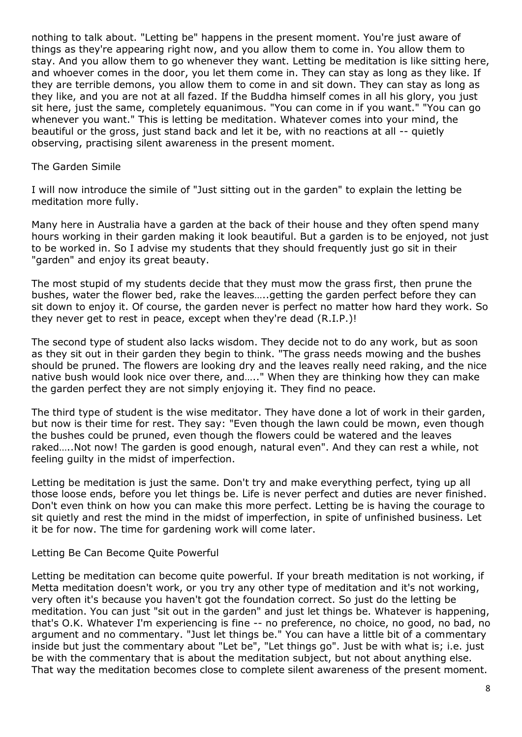nothing to talk about. "Letting be" happens in the present moment. You're just aware of things as they're appearing right now, and you allow them to come in. You allow them to stay. And you allow them to go whenever they want. Letting be meditation is like sitting here, and whoever comes in the door, you let them come in. They can stay as long as they like. If they are terrible demons, you allow them to come in and sit down. They can stay as long as they like, and you are not at all fazed. If the Buddha himself comes in all his glory, you just sit here, just the same, completely equanimous. "You can come in if you want." "You can go whenever you want." This is letting be meditation. Whatever comes into your mind, the beautiful or the gross, just stand back and let it be, with no reactions at all -- quietly observing, practising silent awareness in the present moment.

#### The Garden Simile

I will now introduce the simile of "Just sitting out in the garden" to explain the letting be meditation more fully.

Many here in Australia have a garden at the back of their house and they often spend many hours working in their garden making it look beautiful. But a garden is to be enjoyed, not just to be worked in. So I advise my students that they should frequently just go sit in their "garden" and enjoy its great beauty.

The most stupid of my students decide that they must mow the grass first, then prune the bushes, water the flower bed, rake the leaves…..getting the garden perfect before they can sit down to enjoy it. Of course, the garden never is perfect no matter how hard they work. So they never get to rest in peace, except when they're dead (R.I.P.)!

The second type of student also lacks wisdom. They decide not to do any work, but as soon as they sit out in their garden they begin to think. "The grass needs mowing and the bushes should be pruned. The flowers are looking dry and the leaves really need raking, and the nice native bush would look nice over there, and….." When they are thinking how they can make the garden perfect they are not simply enjoying it. They find no peace.

The third type of student is the wise meditator. They have done a lot of work in their garden, but now is their time for rest. They say: "Even though the lawn could be mown, even though the bushes could be pruned, even though the flowers could be watered and the leaves raked…..Not now! The garden is good enough, natural even". And they can rest a while, not feeling guilty in the midst of imperfection.

Letting be meditation is just the same. Don't try and make everything perfect, tying up all those loose ends, before you let things be. Life is never perfect and duties are never finished. Don't even think on how you can make this more perfect. Letting be is having the courage to sit quietly and rest the mind in the midst of imperfection, in spite of unfinished business. Let it be for now. The time for gardening work will come later.

#### Letting Be Can Become Quite Powerful

Letting be meditation can become quite powerful. If your breath meditation is not working, if Metta meditation doesn't work, or you try any other type of meditation and it's not working, very often it's because you haven't got the foundation correct. So just do the letting be meditation. You can just "sit out in the garden" and just let things be. Whatever is happening, that's O.K. Whatever I'm experiencing is fine -- no preference, no choice, no good, no bad, no argument and no commentary. "Just let things be." You can have a little bit of a commentary inside but just the commentary about "Let be", "Let things go". Just be with what is; i.e. just be with the commentary that is about the meditation subject, but not about anything else. That way the meditation becomes close to complete silent awareness of the present moment.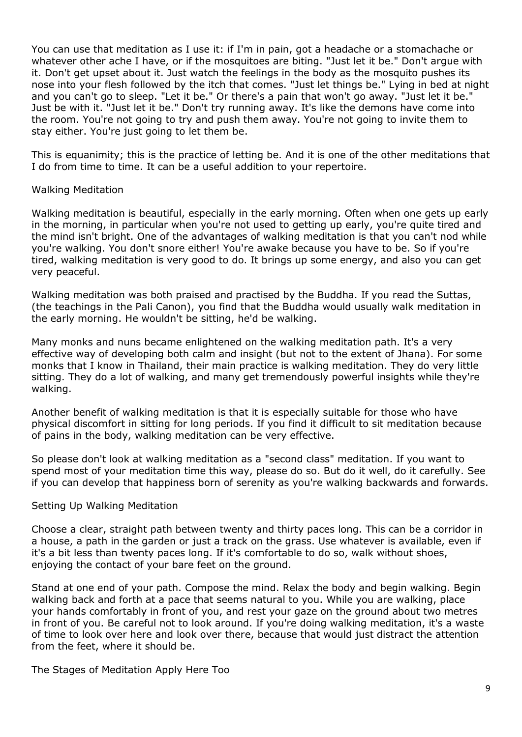You can use that meditation as I use it: if I'm in pain, got a headache or a stomachache or whatever other ache I have, or if the mosquitoes are biting. "Just let it be." Don't argue with it. Don't get upset about it. Just watch the feelings in the body as the mosquito pushes its nose into your flesh followed by the itch that comes. "Just let things be." Lying in bed at night and you can't go to sleep. "Let it be." Or there's a pain that won't go away. "Just let it be." Just be with it. "Just let it be." Don't try running away. It's like the demons have come into the room. You're not going to try and push them away. You're not going to invite them to stay either. You're just going to let them be.

This is equanimity; this is the practice of letting be. And it is one of the other meditations that I do from time to time. It can be a useful addition to your repertoire.

#### Walking Meditation

Walking meditation is beautiful, especially in the early morning. Often when one gets up early in the morning, in particular when you're not used to getting up early, you're quite tired and the mind isn't bright. One of the advantages of walking meditation is that you can't nod while you're walking. You don't snore either! You're awake because you have to be. So if you're tired, walking meditation is very good to do. It brings up some energy, and also you can get very peaceful.

Walking meditation was both praised and practised by the Buddha. If you read the Suttas, (the teachings in the Pali Canon), you find that the Buddha would usually walk meditation in the early morning. He wouldn't be sitting, he'd be walking.

Many monks and nuns became enlightened on the walking meditation path. It's a very effective way of developing both calm and insight (but not to the extent of Jhana). For some monks that I know in Thailand, their main practice is walking meditation. They do very little sitting. They do a lot of walking, and many get tremendously powerful insights while they're walking.

Another benefit of walking meditation is that it is especially suitable for those who have physical discomfort in sitting for long periods. If you find it difficult to sit meditation because of pains in the body, walking meditation can be very effective.

So please don't look at walking meditation as a "second class" meditation. If you want to spend most of your meditation time this way, please do so. But do it well, do it carefully. See if you can develop that happiness born of serenity as you're walking backwards and forwards.

#### Setting Up Walking Meditation

Choose a clear, straight path between twenty and thirty paces long. This can be a corridor in a house, a path in the garden or just a track on the grass. Use whatever is available, even if it's a bit less than twenty paces long. If it's comfortable to do so, walk without shoes, enjoying the contact of your bare feet on the ground.

Stand at one end of your path. Compose the mind. Relax the body and begin walking. Begin walking back and forth at a pace that seems natural to you. While you are walking, place your hands comfortably in front of you, and rest your gaze on the ground about two metres in front of you. Be careful not to look around. If you're doing walking meditation, it's a waste of time to look over here and look over there, because that would just distract the attention from the feet, where it should be.

The Stages of Meditation Apply Here Too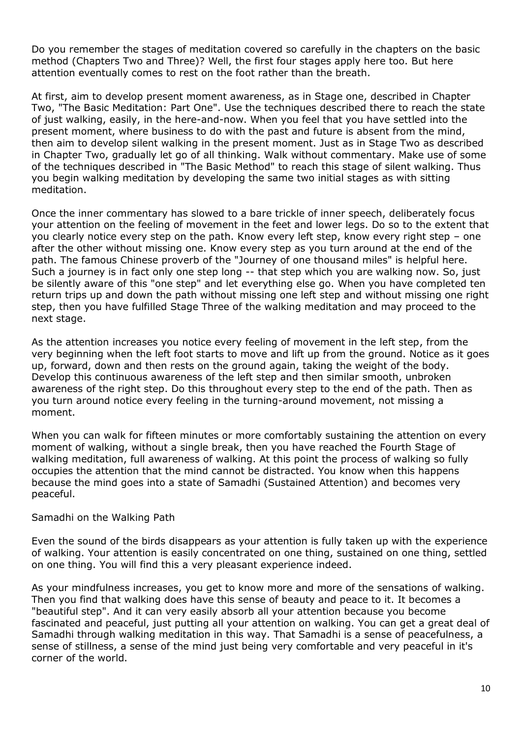Do you remember the stages of meditation covered so carefully in the chapters on the basic method (Chapters Two and Three)? Well, the first four stages apply here too. But here attention eventually comes to rest on the foot rather than the breath.

At first, aim to develop present moment awareness, as in Stage one, described in Chapter Two, "The Basic Meditation: Part One". Use the techniques described there to reach the state of just walking, easily, in the here-and-now. When you feel that you have settled into the present moment, where business to do with the past and future is absent from the mind, then aim to develop silent walking in the present moment. Just as in Stage Two as described in Chapter Two, gradually let go of all thinking. Walk without commentary. Make use of some of the techniques described in "The Basic Method" to reach this stage of silent walking. Thus you begin walking meditation by developing the same two initial stages as with sitting meditation.

Once the inner commentary has slowed to a bare trickle of inner speech, deliberately focus your attention on the feeling of movement in the feet and lower legs. Do so to the extent that you clearly notice every step on the path. Know every left step, know every right step – one after the other without missing one. Know every step as you turn around at the end of the path. The famous Chinese proverb of the "Journey of one thousand miles" is helpful here. Such a journey is in fact only one step long -- that step which you are walking now. So, just be silently aware of this "one step" and let everything else go. When you have completed ten return trips up and down the path without missing one left step and without missing one right step, then you have fulfilled Stage Three of the walking meditation and may proceed to the next stage.

As the attention increases you notice every feeling of movement in the left step, from the very beginning when the left foot starts to move and lift up from the ground. Notice as it goes up, forward, down and then rests on the ground again, taking the weight of the body. Develop this continuous awareness of the left step and then similar smooth, unbroken awareness of the right step. Do this throughout every step to the end of the path. Then as you turn around notice every feeling in the turning-around movement, not missing a moment.

When you can walk for fifteen minutes or more comfortably sustaining the attention on every moment of walking, without a single break, then you have reached the Fourth Stage of walking meditation, full awareness of walking. At this point the process of walking so fully occupies the attention that the mind cannot be distracted. You know when this happens because the mind goes into a state of Samadhi (Sustained Attention) and becomes very peaceful.

#### Samadhi on the Walking Path

Even the sound of the birds disappears as your attention is fully taken up with the experience of walking. Your attention is easily concentrated on one thing, sustained on one thing, settled on one thing. You will find this a very pleasant experience indeed.

As your mindfulness increases, you get to know more and more of the sensations of walking. Then you find that walking does have this sense of beauty and peace to it. It becomes a "beautiful step". And it can very easily absorb all your attention because you become fascinated and peaceful, just putting all your attention on walking. You can get a great deal of Samadhi through walking meditation in this way. That Samadhi is a sense of peacefulness, a sense of stillness, a sense of the mind just being very comfortable and very peaceful in it's corner of the world.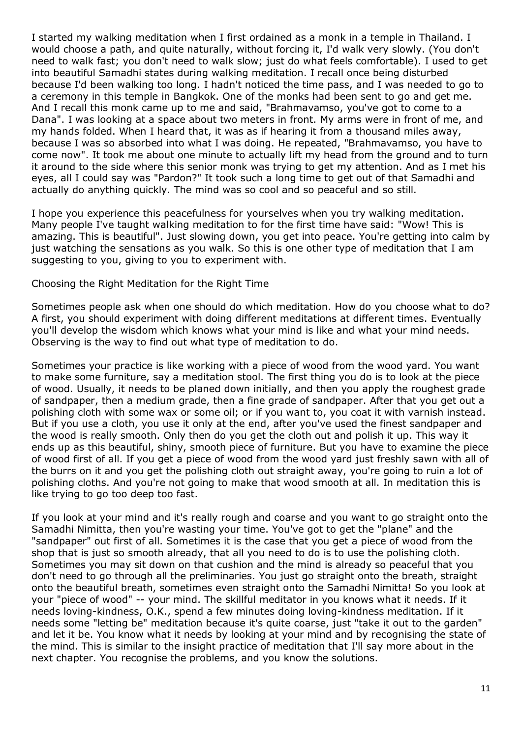I started my walking meditation when I first ordained as a monk in a temple in Thailand. I would choose a path, and quite naturally, without forcing it, I'd walk very slowly. (You don't need to walk fast; you don't need to walk slow; just do what feels comfortable). I used to get into beautiful Samadhi states during walking meditation. I recall once being disturbed because I'd been walking too long. I hadn't noticed the time pass, and I was needed to go to a ceremony in this temple in Bangkok. One of the monks had been sent to go and get me. And I recall this monk came up to me and said, "Brahmavamso, you've got to come to a Dana". I was looking at a space about two meters in front. My arms were in front of me, and my hands folded. When I heard that, it was as if hearing it from a thousand miles away, because I was so absorbed into what I was doing. He repeated, "Brahmavamso, you have to come now". It took me about one minute to actually lift my head from the ground and to turn it around to the side where this senior monk was trying to get my attention. And as I met his eyes, all I could say was "Pardon?" It took such a long time to get out of that Samadhi and actually do anything quickly. The mind was so cool and so peaceful and so still.

I hope you experience this peacefulness for yourselves when you try walking meditation. Many people I've taught walking meditation to for the first time have said: "Wow! This is amazing. This is beautiful". Just slowing down, you get into peace. You're getting into calm by just watching the sensations as you walk. So this is one other type of meditation that I am suggesting to you, giving to you to experiment with.

#### Choosing the Right Meditation for the Right Time

Sometimes people ask when one should do which meditation. How do you choose what to do? A first, you should experiment with doing different meditations at different times. Eventually you'll develop the wisdom which knows what your mind is like and what your mind needs. Observing is the way to find out what type of meditation to do.

Sometimes your practice is like working with a piece of wood from the wood yard. You want to make some furniture, say a meditation stool. The first thing you do is to look at the piece of wood. Usually, it needs to be planed down initially, and then you apply the roughest grade of sandpaper, then a medium grade, then a fine grade of sandpaper. After that you get out a polishing cloth with some wax or some oil; or if you want to, you coat it with varnish instead. But if you use a cloth, you use it only at the end, after you've used the finest sandpaper and the wood is really smooth. Only then do you get the cloth out and polish it up. This way it ends up as this beautiful, shiny, smooth piece of furniture. But you have to examine the piece of wood first of all. If you get a piece of wood from the wood yard just freshly sawn with all of the burrs on it and you get the polishing cloth out straight away, you're going to ruin a lot of polishing cloths. And you're not going to make that wood smooth at all. In meditation this is like trying to go too deep too fast.

If you look at your mind and it's really rough and coarse and you want to go straight onto the Samadhi Nimitta, then you're wasting your time. You've got to get the "plane" and the "sandpaper" out first of all. Sometimes it is the case that you get a piece of wood from the shop that is just so smooth already, that all you need to do is to use the polishing cloth. Sometimes you may sit down on that cushion and the mind is already so peaceful that you don't need to go through all the preliminaries. You just go straight onto the breath, straight onto the beautiful breath, sometimes even straight onto the Samadhi Nimitta! So you look at your "piece of wood" -- your mind. The skillful meditator in you knows what it needs. If it needs loving-kindness, O.K., spend a few minutes doing loving-kindness meditation. If it needs some "letting be" meditation because it's quite coarse, just "take it out to the garden" and let it be. You know what it needs by looking at your mind and by recognising the state of the mind. This is similar to the insight practice of meditation that I'll say more about in the next chapter. You recognise the problems, and you know the solutions.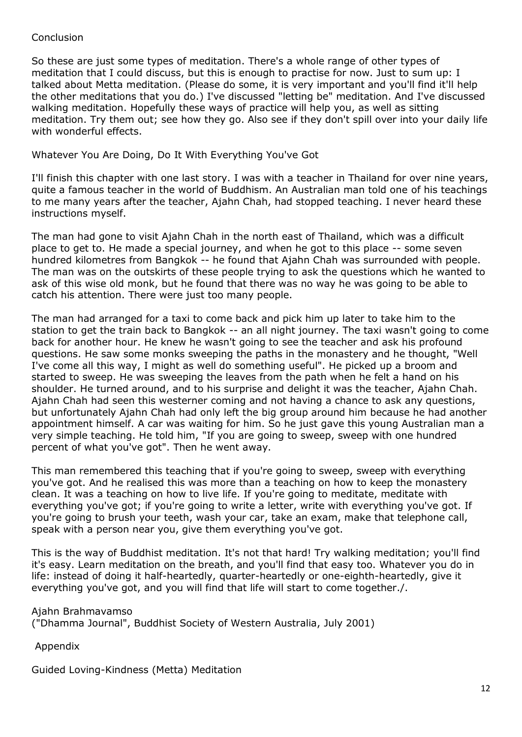#### Conclusion

So these are just some types of meditation. There's a whole range of other types of meditation that I could discuss, but this is enough to practise for now. Just to sum up: I talked about Metta meditation. (Please do some, it is very important and you'll find it'll help the other meditations that you do.) I've discussed "letting be" meditation. And I've discussed walking meditation. Hopefully these ways of practice will help you, as well as sitting meditation. Try them out; see how they go. Also see if they don't spill over into your daily life with wonderful effects.

Whatever You Are Doing, Do It With Everything You've Got

I'll finish this chapter with one last story. I was with a teacher in Thailand for over nine years, quite a famous teacher in the world of Buddhism. An Australian man told one of his teachings to me many years after the teacher, Ajahn Chah, had stopped teaching. I never heard these instructions myself.

The man had gone to visit Ajahn Chah in the north east of Thailand, which was a difficult place to get to. He made a special journey, and when he got to this place -- some seven hundred kilometres from Bangkok -- he found that Ajahn Chah was surrounded with people. The man was on the outskirts of these people trying to ask the questions which he wanted to ask of this wise old monk, but he found that there was no way he was going to be able to catch his attention. There were just too many people.

The man had arranged for a taxi to come back and pick him up later to take him to the station to get the train back to Bangkok -- an all night journey. The taxi wasn't going to come back for another hour. He knew he wasn't going to see the teacher and ask his profound questions. He saw some monks sweeping the paths in the monastery and he thought, "Well I've come all this way, I might as well do something useful". He picked up a broom and started to sweep. He was sweeping the leaves from the path when he felt a hand on his shoulder. He turned around, and to his surprise and delight it was the teacher, Ajahn Chah. Ajahn Chah had seen this westerner coming and not having a chance to ask any questions, but unfortunately Ajahn Chah had only left the big group around him because he had another appointment himself. A car was waiting for him. So he just gave this young Australian man a very simple teaching. He told him, "If you are going to sweep, sweep with one hundred percent of what you've got". Then he went away.

This man remembered this teaching that if you're going to sweep, sweep with everything you've got. And he realised this was more than a teaching on how to keep the monastery clean. It was a teaching on how to live life. If you're going to meditate, meditate with everything you've got; if you're going to write a letter, write with everything you've got. If you're going to brush your teeth, wash your car, take an exam, make that telephone call, speak with a person near you, give them everything you've got.

This is the way of Buddhist meditation. It's not that hard! Try walking meditation; you'll find it's easy. Learn meditation on the breath, and you'll find that easy too. Whatever you do in life: instead of doing it half-heartedly, quarter-heartedly or one-eighth-heartedly, give it everything you've got, and you will find that life will start to come together./.

#### Ajahn Brahmavamso

("Dhamma Journal", Buddhist Society of Western Australia, July 2001)

Appendix

Guided Loving-Kindness (Metta) Meditation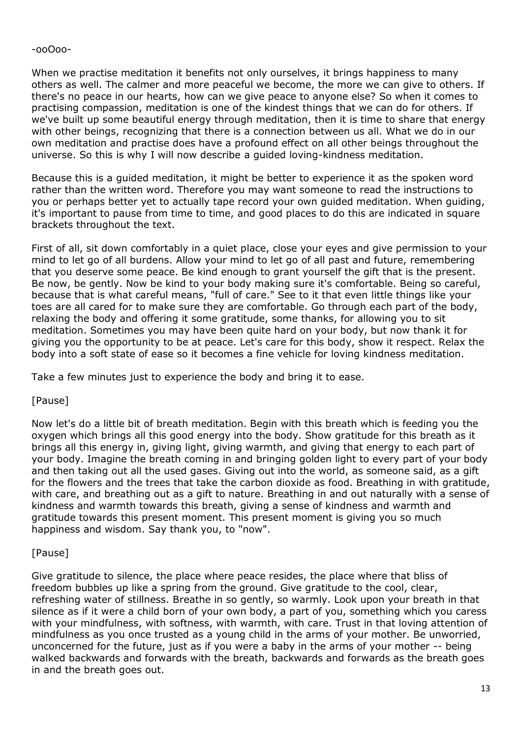-ooOoo-

When we practise meditation it benefits not only ourselves, it brings happiness to many others as well. The calmer and more peaceful we become, the more we can give to others. If there's no peace in our hearts, how can we give peace to anyone else? So when it comes to practising compassion, meditation is one of the kindest things that we can do for others. If we've built up some beautiful energy through meditation, then it is time to share that energy with other beings, recognizing that there is a connection between us all. What we do in our own meditation and practise does have a profound effect on all other beings throughout the universe. So this is why I will now describe a guided loving-kindness meditation.

Because this is a guided meditation, it might be better to experience it as the spoken word rather than the written word. Therefore you may want someone to read the instructions to you or perhaps better yet to actually tape record your own guided meditation. When guiding, it's important to pause from time to time, and good places to do this are indicated in square brackets throughout the text.

First of all, sit down comfortably in a quiet place, close your eyes and give permission to your mind to let go of all burdens. Allow your mind to let go of all past and future, remembering that you deserve some peace. Be kind enough to grant yourself the gift that is the present. Be now, be gently. Now be kind to your body making sure it's comfortable. Being so careful, because that is what careful means, "full of care." See to it that even little things like your toes are all cared for to make sure they are comfortable. Go through each part of the body, relaxing the body and offering it some gratitude, some thanks, for allowing you to sit meditation. Sometimes you may have been quite hard on your body, but now thank it for giving you the opportunity to be at peace. Let's care for this body, show it respect. Relax the body into a soft state of ease so it becomes a fine vehicle for loving kindness meditation.

Take a few minutes just to experience the body and bring it to ease.

#### [Pause]

Now let's do a little bit of breath meditation. Begin with this breath which is feeding you the oxygen which brings all this good energy into the body. Show gratitude for this breath as it brings all this energy in, giving light, giving warmth, and giving that energy to each part of your body. Imagine the breath coming in and bringing golden light to every part of your body and then taking out all the used gases. Giving out into the world, as someone said, as a gift for the flowers and the trees that take the carbon dioxide as food. Breathing in with gratitude, with care, and breathing out as a gift to nature. Breathing in and out naturally with a sense of kindness and warmth towards this breath, giving a sense of kindness and warmth and gratitude towards this present moment. This present moment is giving you so much happiness and wisdom. Say thank you, to "now".

# [Pause]

Give gratitude to silence, the place where peace resides, the place where that bliss of freedom bubbles up like a spring from the ground. Give gratitude to the cool, clear, refreshing water of stillness. Breathe in so gently, so warmly. Look upon your breath in that silence as if it were a child born of your own body, a part of you, something which you caress with your mindfulness, with softness, with warmth, with care. Trust in that loving attention of mindfulness as you once trusted as a young child in the arms of your mother. Be unworried, unconcerned for the future, just as if you were a baby in the arms of your mother -- being walked backwards and forwards with the breath, backwards and forwards as the breath goes in and the breath goes out.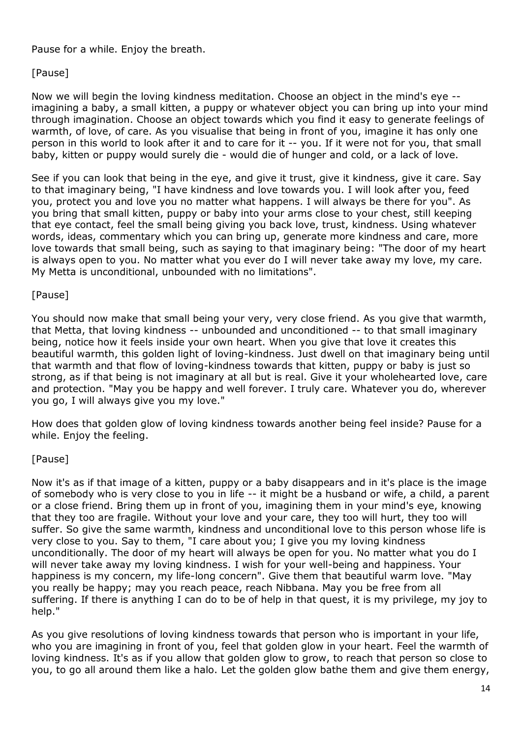## Pause for a while. Enjoy the breath.

# [Pause]

Now we will begin the loving kindness meditation. Choose an object in the mind's eye - imagining a baby, a small kitten, a puppy or whatever object you can bring up into your mind through imagination. Choose an object towards which you find it easy to generate feelings of warmth, of love, of care. As you visualise that being in front of you, imagine it has only one person in this world to look after it and to care for it -- you. If it were not for you, that small baby, kitten or puppy would surely die - would die of hunger and cold, or a lack of love.

See if you can look that being in the eye, and give it trust, give it kindness, give it care. Say to that imaginary being, "I have kindness and love towards you. I will look after you, feed you, protect you and love you no matter what happens. I will always be there for you". As you bring that small kitten, puppy or baby into your arms close to your chest, still keeping that eye contact, feel the small being giving you back love, trust, kindness. Using whatever words, ideas, commentary which you can bring up, generate more kindness and care, more love towards that small being, such as saying to that imaginary being: "The door of my heart is always open to you. No matter what you ever do I will never take away my love, my care. My Metta is unconditional, unbounded with no limitations".

## [Pause]

You should now make that small being your very, very close friend. As you give that warmth, that Metta, that loving kindness -- unbounded and unconditioned -- to that small imaginary being, notice how it feels inside your own heart. When you give that love it creates this beautiful warmth, this golden light of loving-kindness. Just dwell on that imaginary being until that warmth and that flow of loving-kindness towards that kitten, puppy or baby is just so strong, as if that being is not imaginary at all but is real. Give it your wholehearted love, care and protection. "May you be happy and well forever. I truly care. Whatever you do, wherever you go, I will always give you my love."

How does that golden glow of loving kindness towards another being feel inside? Pause for a while. Enjoy the feeling.

#### [Pause]

Now it's as if that image of a kitten, puppy or a baby disappears and in it's place is the image of somebody who is very close to you in life -- it might be a husband or wife, a child, a parent or a close friend. Bring them up in front of you, imagining them in your mind's eye, knowing that they too are fragile. Without your love and your care, they too will hurt, they too will suffer. So give the same warmth, kindness and unconditional love to this person whose life is very close to you. Say to them, "I care about you; I give you my loving kindness unconditionally. The door of my heart will always be open for you. No matter what you do I will never take away my loving kindness. I wish for your well-being and happiness. Your happiness is my concern, my life-long concern". Give them that beautiful warm love. "May you really be happy; may you reach peace, reach Nibbana. May you be free from all suffering. If there is anything I can do to be of help in that quest, it is my privilege, my joy to help."

As you give resolutions of loving kindness towards that person who is important in your life, who you are imagining in front of you, feel that golden glow in your heart. Feel the warmth of loving kindness. It's as if you allow that golden glow to grow, to reach that person so close to you, to go all around them like a halo. Let the golden glow bathe them and give them energy,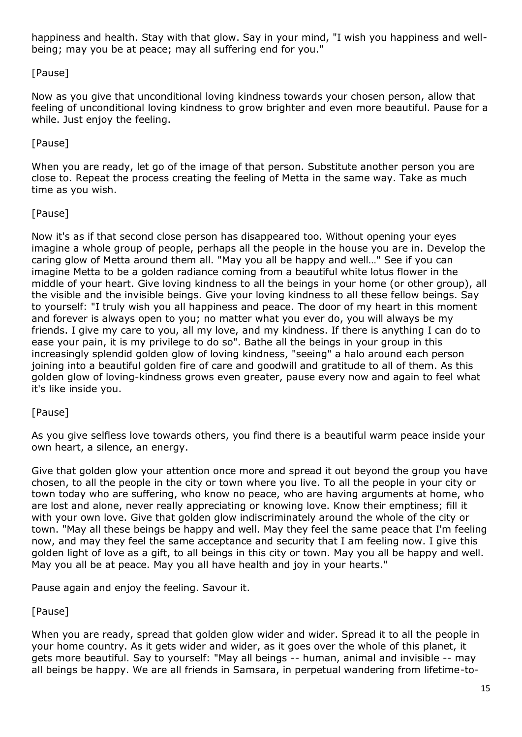happiness and health. Stay with that glow. Say in your mind, "I wish you happiness and wellbeing; may you be at peace; may all suffering end for you."

# [Pause]

Now as you give that unconditional loving kindness towards your chosen person, allow that feeling of unconditional loving kindness to grow brighter and even more beautiful. Pause for a while. Just enjoy the feeling.

# [Pause]

When you are ready, let go of the image of that person. Substitute another person you are close to. Repeat the process creating the feeling of Metta in the same way. Take as much time as you wish.

# [Pause]

Now it's as if that second close person has disappeared too. Without opening your eyes imagine a whole group of people, perhaps all the people in the house you are in. Develop the caring glow of Metta around them all. "May you all be happy and well…" See if you can imagine Metta to be a golden radiance coming from a beautiful white lotus flower in the middle of your heart. Give loving kindness to all the beings in your home (or other group), all the visible and the invisible beings. Give your loving kindness to all these fellow beings. Say to yourself: "I truly wish you all happiness and peace. The door of my heart in this moment and forever is always open to you; no matter what you ever do, you will always be my friends. I give my care to you, all my love, and my kindness. If there is anything I can do to ease your pain, it is my privilege to do so". Bathe all the beings in your group in this increasingly splendid golden glow of loving kindness, "seeing" a halo around each person joining into a beautiful golden fire of care and goodwill and gratitude to all of them. As this golden glow of loving-kindness grows even greater, pause every now and again to feel what it's like inside you.

# [Pause]

As you give selfless love towards others, you find there is a beautiful warm peace inside your own heart, a silence, an energy.

Give that golden glow your attention once more and spread it out beyond the group you have chosen, to all the people in the city or town where you live. To all the people in your city or town today who are suffering, who know no peace, who are having arguments at home, who are lost and alone, never really appreciating or knowing love. Know their emptiness; fill it with your own love. Give that golden glow indiscriminately around the whole of the city or town. "May all these beings be happy and well. May they feel the same peace that I'm feeling now, and may they feel the same acceptance and security that I am feeling now. I give this golden light of love as a gift, to all beings in this city or town. May you all be happy and well. May you all be at peace. May you all have health and joy in your hearts."

Pause again and enjoy the feeling. Savour it.

# [Pause]

When you are ready, spread that golden glow wider and wider. Spread it to all the people in your home country. As it gets wider and wider, as it goes over the whole of this planet, it gets more beautiful. Say to yourself: "May all beings -- human, animal and invisible -- may all beings be happy. We are all friends in Samsara, in perpetual wandering from lifetime-to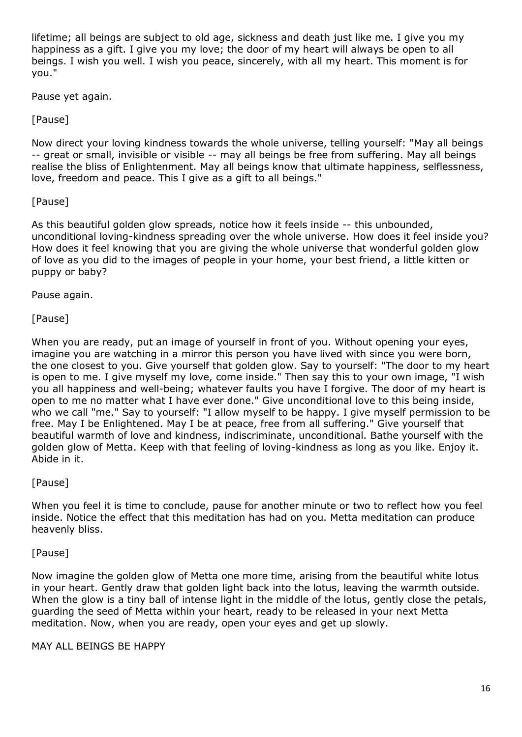lifetime; all beings are subject to old age, sickness and death just like me. I give you my happiness as a gift. I give you my love; the door of my heart will always be open to all beings. I wish you well. I wish you peace, sincerely, with all my heart. This moment is for you."

Pause yet again.

[Pause]

Now direct your loving kindness towards the whole universe, telling yourself: "May all beings -- great or small, invisible or visible -- may all beings be free from suffering. May all beings realise the bliss of Enlightenment. May all beings know that ultimate happiness, selflessness, love, freedom and peace. This I give as a gift to all beings."

## [Pause]

As this beautiful golden glow spreads, notice how it feels inside -- this unbounded, unconditional loving-kindness spreading over the whole universe. How does it feel inside you? How does it feel knowing that you are giving the whole universe that wonderful golden glow of love as you did to the images of people in your home, your best friend, a little kitten or puppy or baby?

Pause again.

## [Pause]

When you are ready, put an image of yourself in front of you. Without opening your eyes, imagine you are watching in a mirror this person you have lived with since you were born, the one closest to you. Give yourself that golden glow. Say to yourself: "The door to my heart is open to me. I give myself my love, come inside." Then say this to your own image, "I wish you all happiness and well-being; whatever faults you have I forgive. The door of my heart is open to me no matter what I have ever done." Give unconditional love to this being inside, who we call "me." Say to yourself: "I allow myself to be happy. I give myself permission to be free. May I be Enlightened. May I be at peace, free from all suffering." Give yourself that beautiful warmth of love and kindness, indiscriminate, unconditional. Bathe yourself with the golden glow of Metta. Keep with that feeling of loving-kindness as long as you like. Enjoy it. Abide in it.

# [Pause]

When you feel it is time to conclude, pause for another minute or two to reflect how you feel inside. Notice the effect that this meditation has had on you. Metta meditation can produce heavenly bliss.

#### [Pause]

Now imagine the golden glow of Metta one more time, arising from the beautiful white lotus in your heart. Gently draw that golden light back into the lotus, leaving the warmth outside. When the glow is a tiny ball of intense light in the middle of the lotus, gently close the petals, guarding the seed of Metta within your heart, ready to be released in your next Metta meditation. Now, when you are ready, open your eyes and get up slowly.

MAY ALL BEINGS BE HAPPY